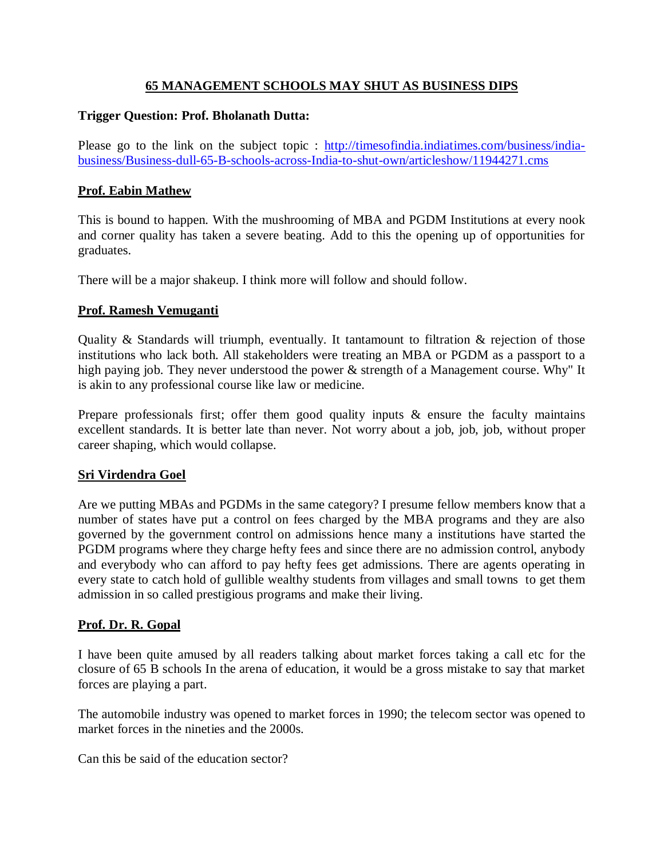# **65 MANAGEMENT SCHOOLS MAY SHUT AS BUSINESS DIPS**

# **Trigger Question: Prof. Bholanath Dutta:**

Please go to the link on the subject topic : http://timesofindia.indiatimes.com/business/indiabusiness/Business-dull-65-B-schools-across-India-to-shut-own/articleshow/11944271.cms

# **Prof. Eabin Mathew**

This is bound to happen. With the mushrooming of MBA and PGDM Institutions at every nook and corner quality has taken a severe beating. Add to this the opening up of opportunities for graduates.

There will be a major shakeup. I think more will follow and should follow.

# **Prof. Ramesh Vemuganti**

Quality & Standards will triumph, eventually. It tantamount to filtration & rejection of those institutions who lack both. All stakeholders were treating an MBA or PGDM as a passport to a high paying job. They never understood the power & strength of a Management course. Why" It is akin to any professional course like law or medicine.

Prepare professionals first; offer them good quality inputs & ensure the faculty maintains excellent standards. It is better late than never. Not worry about a job, job, job, without proper career shaping, which would collapse.

# **Sri Virdendra Goel**

Are we putting MBAs and PGDMs in the same category? I presume fellow members know that a number of states have put a control on fees charged by the MBA programs and they are also governed by the government control on admissions hence many a institutions have started the PGDM programs where they charge hefty fees and since there are no admission control, anybody and everybody who can afford to pay hefty fees get admissions. There are agents operating in every state to catch hold of gullible wealthy students from villages and small towns to get them admission in so called prestigious programs and make their living.

# **Prof. Dr. R. Gopal**

I have been quite amused by all readers talking about market forces taking a call etc for the closure of 65 B schools In the arena of education, it would be a gross mistake to say that market forces are playing a part.

The automobile industry was opened to market forces in 1990; the telecom sector was opened to market forces in the nineties and the 2000s.

Can this be said of the education sector?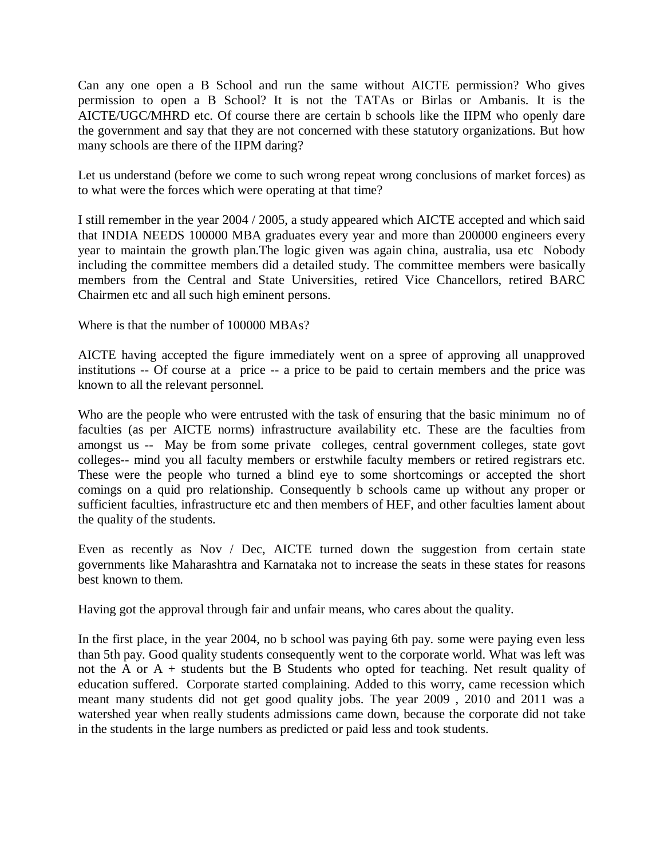Can any one open a B School and run the same without AICTE permission? Who gives permission to open a B School? It is not the TATAs or Birlas or Ambanis. It is the AICTE/UGC/MHRD etc. Of course there are certain b schools like the IIPM who openly dare the government and say that they are not concerned with these statutory organizations. But how many schools are there of the IIPM daring?

Let us understand (before we come to such wrong repeat wrong conclusions of market forces) as to what were the forces which were operating at that time?

I still remember in the year 2004 / 2005, a study appeared which AICTE accepted and which said that INDIA NEEDS 100000 MBA graduates every year and more than 200000 engineers every year to maintain the growth plan.The logic given was again china, australia, usa etc Nobody including the committee members did a detailed study. The committee members were basically members from the Central and State Universities, retired Vice Chancellors, retired BARC Chairmen etc and all such high eminent persons.

Where is that the number of 100000 MBAs?

AICTE having accepted the figure immediately went on a spree of approving all unapproved institutions -- Of course at a price -- a price to be paid to certain members and the price was known to all the relevant personnel.

Who are the people who were entrusted with the task of ensuring that the basic minimum no of faculties (as per AICTE norms) infrastructure availability etc. These are the faculties from amongst us -- May be from some private colleges, central government colleges, state govt colleges-- mind you all faculty members or erstwhile faculty members or retired registrars etc. These were the people who turned a blind eye to some shortcomings or accepted the short comings on a quid pro relationship. Consequently b schools came up without any proper or sufficient faculties, infrastructure etc and then members of HEF, and other faculties lament about the quality of the students.

Even as recently as Nov / Dec, AICTE turned down the suggestion from certain state governments like Maharashtra and Karnataka not to increase the seats in these states for reasons best known to them.

Having got the approval through fair and unfair means, who cares about the quality.

In the first place, in the year 2004, no b school was paying 6th pay. some were paying even less than 5th pay. Good quality students consequently went to the corporate world. What was left was not the A or  $A +$  students but the B Students who opted for teaching. Net result quality of education suffered. Corporate started complaining. Added to this worry, came recession which meant many students did not get good quality jobs. The year 2009 , 2010 and 2011 was a watershed year when really students admissions came down, because the corporate did not take in the students in the large numbers as predicted or paid less and took students.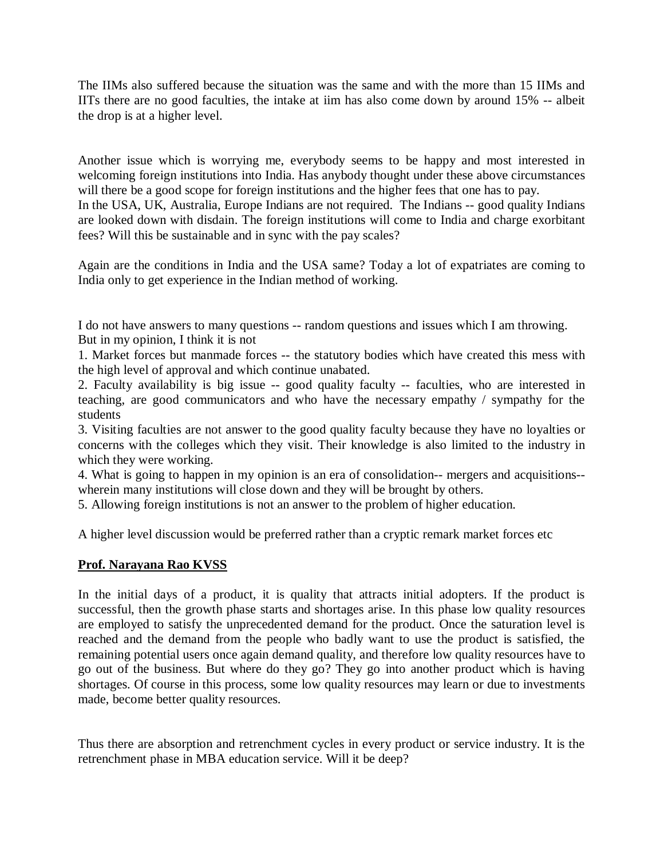The IIMs also suffered because the situation was the same and with the more than 15 IIMs and IITs there are no good faculties, the intake at iim has also come down by around 15% -- albeit the drop is at a higher level.

Another issue which is worrying me, everybody seems to be happy and most interested in welcoming foreign institutions into India. Has anybody thought under these above circumstances will there be a good scope for foreign institutions and the higher fees that one has to pay.

In the USA, UK, Australia, Europe Indians are not required. The Indians -- good quality Indians are looked down with disdain. The foreign institutions will come to India and charge exorbitant fees? Will this be sustainable and in sync with the pay scales?

Again are the conditions in India and the USA same? Today a lot of expatriates are coming to India only to get experience in the Indian method of working.

I do not have answers to many questions -- random questions and issues which I am throwing. But in my opinion, I think it is not

1. Market forces but manmade forces -- the statutory bodies which have created this mess with the high level of approval and which continue unabated.

2. Faculty availability is big issue -- good quality faculty -- faculties, who are interested in teaching, are good communicators and who have the necessary empathy / sympathy for the students

3. Visiting faculties are not answer to the good quality faculty because they have no loyalties or concerns with the colleges which they visit. Their knowledge is also limited to the industry in which they were working.

4. What is going to happen in my opinion is an era of consolidation-- mergers and acquisitions- wherein many institutions will close down and they will be brought by others.

5. Allowing foreign institutions is not an answer to the problem of higher education.

A higher level discussion would be preferred rather than a cryptic remark market forces etc

# **Prof. Narayana Rao KVSS**

In the initial days of a product, it is quality that attracts initial adopters. If the product is successful, then the growth phase starts and shortages arise. In this phase low quality resources are employed to satisfy the unprecedented demand for the product. Once the saturation level is reached and the demand from the people who badly want to use the product is satisfied, the remaining potential users once again demand quality, and therefore low quality resources have to go out of the business. But where do they go? They go into another product which is having shortages. Of course in this process, some low quality resources may learn or due to investments made, become better quality resources.

Thus there are absorption and retrenchment cycles in every product or service industry. It is the retrenchment phase in MBA education service. Will it be deep?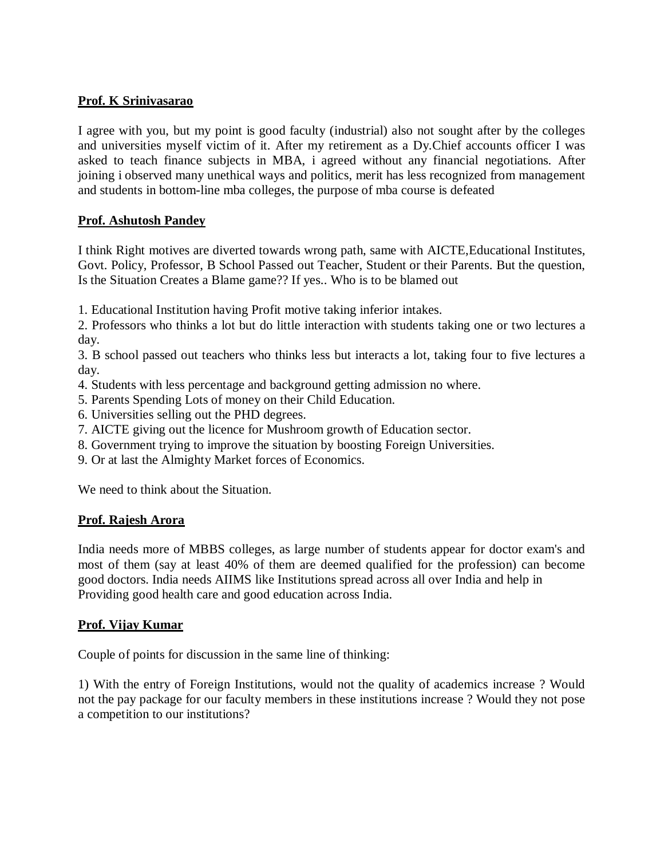## **Prof. K Srinivasarao**

I agree with you, but my point is good faculty (industrial) also not sought after by the colleges and universities myself victim of it. After my retirement as a Dy.Chief accounts officer I was asked to teach finance subjects in MBA, i agreed without any financial negotiations. After joining i observed many unethical ways and politics, merit has less recognized from management and students in bottom-line mba colleges, the purpose of mba course is defeated

## **Prof. Ashutosh Pandey**

I think Right motives are diverted towards wrong path, same with AICTE,Educational Institutes, Govt. Policy, Professor, B School Passed out Teacher, Student or their Parents. But the question, Is the Situation Creates a Blame game?? If yes.. Who is to be blamed out

1. Educational Institution having Profit motive taking inferior intakes.

2. Professors who thinks a lot but do little interaction with students taking one or two lectures a day.

3. B school passed out teachers who thinks less but interacts a lot, taking four to five lectures a day.

- 4. Students with less percentage and background getting admission no where.
- 5. Parents Spending Lots of money on their Child Education.
- 6. Universities selling out the PHD degrees.
- 7. AICTE giving out the licence for Mushroom growth of Education sector.
- 8. Government trying to improve the situation by boosting Foreign Universities.
- 9. Or at last the Almighty Market forces of Economics.

We need to think about the Situation.

### **Prof. Rajesh Arora**

India needs more of MBBS colleges, as large number of students appear for doctor exam's and most of them (say at least 40% of them are deemed qualified for the profession) can become good doctors. India needs AIIMS like Institutions spread across all over India and help in Providing good health care and good education across India.

### **Prof. Vijay Kumar**

Couple of points for discussion in the same line of thinking:

1) With the entry of Foreign Institutions, would not the quality of academics increase ? Would not the pay package for our faculty members in these institutions increase ? Would they not pose a competition to our institutions?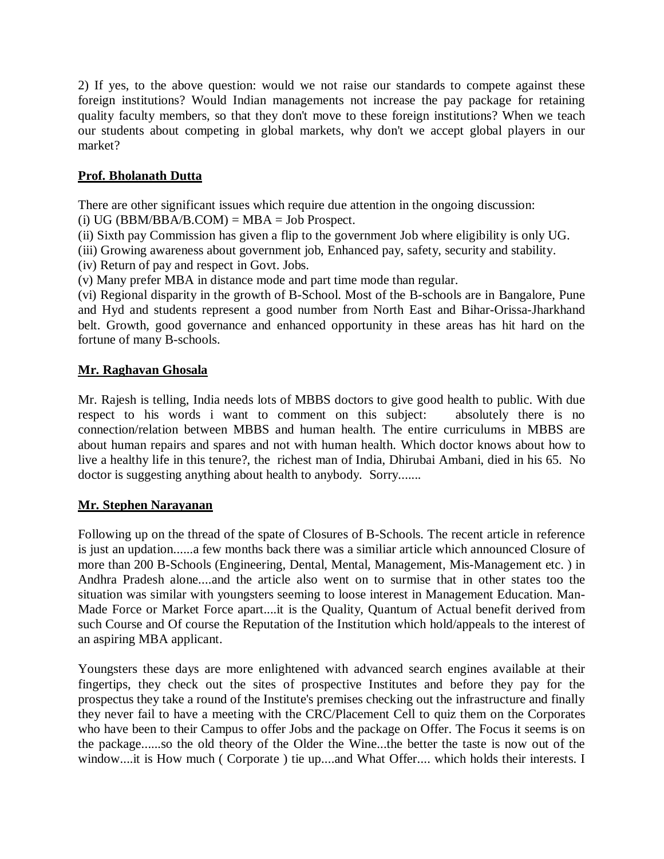2) If yes, to the above question: would we not raise our standards to compete against these foreign institutions? Would Indian managements not increase the pay package for retaining quality faculty members, so that they don't move to these foreign institutions? When we teach our students about competing in global markets, why don't we accept global players in our market?

# **Prof. Bholanath Dutta**

There are other significant issues which require due attention in the ongoing discussion:

(i)  $UG(BBM/BBA/B.COM) = MBA = Job Prospect.$ 

(ii) Sixth pay Commission has given a flip to the government Job where eligibility is only UG.

- (iii) Growing awareness about government job, Enhanced pay, safety, security and stability.
- (iv) Return of pay and respect in Govt. Jobs.

(v) Many prefer MBA in distance mode and part time mode than regular.

(vi) Regional disparity in the growth of B-School. Most of the B-schools are in Bangalore, Pune and Hyd and students represent a good number from North East and Bihar-Orissa-Jharkhand belt. Growth, good governance and enhanced opportunity in these areas has hit hard on the fortune of many B-schools.

# **Mr. Raghavan Ghosala**

Mr. Rajesh is telling, India needs lots of MBBS doctors to give good health to public. With due respect to his words i want to comment on this subject: absolutely there is no respect to his words i want to comment on this subject: connection/relation between MBBS and human health. The entire curriculums in MBBS are about human repairs and spares and not with human health. Which doctor knows about how to live a healthy life in this tenure?, the richest man of India, Dhirubai Ambani, died in his 65. No doctor is suggesting anything about health to anybody. Sorry.......

# **Mr. Stephen Narayanan**

Following up on the thread of the spate of Closures of B-Schools. The recent article in reference is just an updation......a few months back there was a similiar article which announced Closure of more than 200 B-Schools (Engineering, Dental, Mental, Management, Mis-Management etc. ) in Andhra Pradesh alone....and the article also went on to surmise that in other states too the situation was similar with youngsters seeming to loose interest in Management Education. Man-Made Force or Market Force apart....it is the Quality, Quantum of Actual benefit derived from such Course and Of course the Reputation of the Institution which hold/appeals to the interest of an aspiring MBA applicant.

Youngsters these days are more enlightened with advanced search engines available at their fingertips, they check out the sites of prospective Institutes and before they pay for the prospectus they take a round of the Institute's premises checking out the infrastructure and finally they never fail to have a meeting with the CRC/Placement Cell to quiz them on the Corporates who have been to their Campus to offer Jobs and the package on Offer. The Focus it seems is on the package......so the old theory of the Older the Wine...the better the taste is now out of the window....it is How much ( Corporate ) tie up....and What Offer.... which holds their interests. I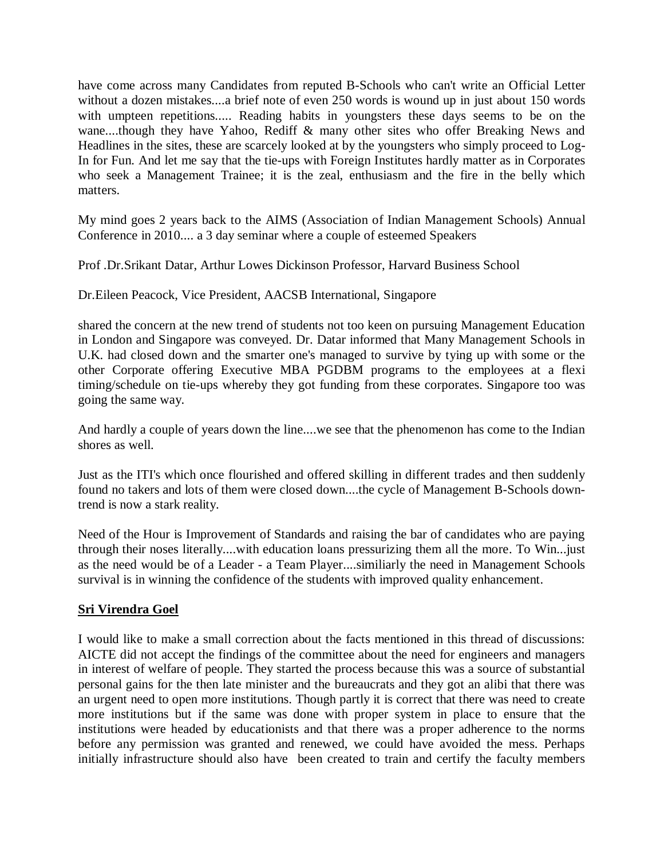have come across many Candidates from reputed B-Schools who can't write an Official Letter without a dozen mistakes....a brief note of even 250 words is wound up in just about 150 words with umpteen repetitions..... Reading habits in youngsters these days seems to be on the wane....though they have Yahoo, Rediff & many other sites who offer Breaking News and Headlines in the sites, these are scarcely looked at by the youngsters who simply proceed to Log-In for Fun. And let me say that the tie-ups with Foreign Institutes hardly matter as in Corporates who seek a Management Trainee; it is the zeal, enthusiasm and the fire in the belly which matters.

My mind goes 2 years back to the AIMS (Association of Indian Management Schools) Annual Conference in 2010.... a 3 day seminar where a couple of esteemed Speakers

Prof .Dr.Srikant Datar, Arthur Lowes Dickinson Professor, Harvard Business School

Dr.Eileen Peacock, Vice President, AACSB International, Singapore

shared the concern at the new trend of students not too keen on pursuing Management Education in London and Singapore was conveyed. Dr. Datar informed that Many Management Schools in U.K. had closed down and the smarter one's managed to survive by tying up with some or the other Corporate offering Executive MBA PGDBM programs to the employees at a flexi timing/schedule on tie-ups whereby they got funding from these corporates. Singapore too was going the same way.

And hardly a couple of years down the line....we see that the phenomenon has come to the Indian shores as well.

Just as the ITI's which once flourished and offered skilling in different trades and then suddenly found no takers and lots of them were closed down....the cycle of Management B-Schools downtrend is now a stark reality.

Need of the Hour is Improvement of Standards and raising the bar of candidates who are paying through their noses literally....with education loans pressurizing them all the more. To Win...just as the need would be of a Leader - a Team Player....similiarly the need in Management Schools survival is in winning the confidence of the students with improved quality enhancement.

# **Sri Virendra Goel**

I would like to make a small correction about the facts mentioned in this thread of discussions: AICTE did not accept the findings of the committee about the need for engineers and managers in interest of welfare of people. They started the process because this was a source of substantial personal gains for the then late minister and the bureaucrats and they got an alibi that there was an urgent need to open more institutions. Though partly it is correct that there was need to create more institutions but if the same was done with proper system in place to ensure that the institutions were headed by educationists and that there was a proper adherence to the norms before any permission was granted and renewed, we could have avoided the mess. Perhaps initially infrastructure should also have been created to train and certify the faculty members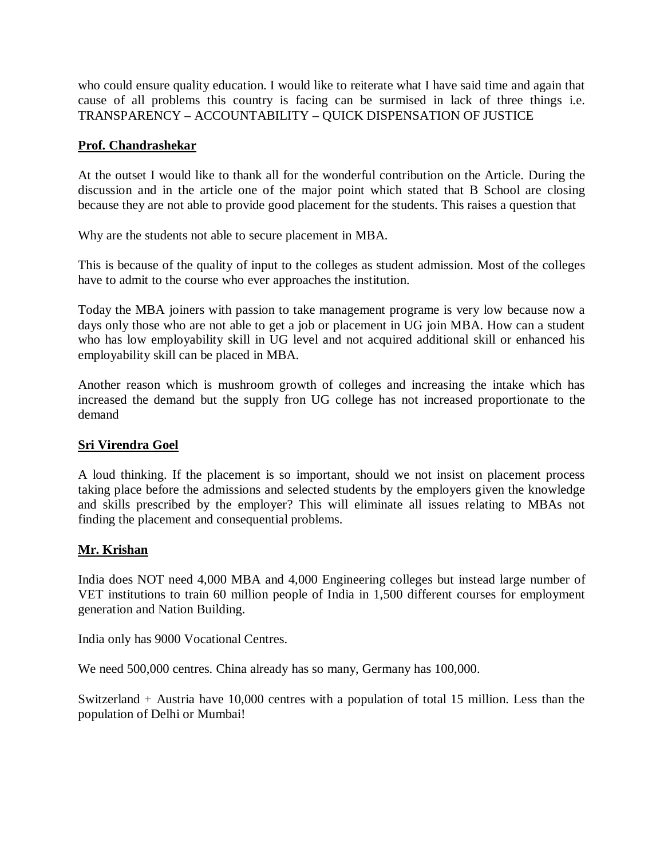who could ensure quality education. I would like to reiterate what I have said time and again that cause of all problems this country is facing can be surmised in lack of three things i.e. TRANSPARENCY – ACCOUNTABILITY – QUICK DISPENSATION OF JUSTICE

## **Prof. Chandrashekar**

At the outset I would like to thank all for the wonderful contribution on the Article. During the discussion and in the article one of the major point which stated that B School are closing because they are not able to provide good placement for the students. This raises a question that

Why are the students not able to secure placement in MBA.

This is because of the quality of input to the colleges as student admission. Most of the colleges have to admit to the course who ever approaches the institution.

Today the MBA joiners with passion to take management programe is very low because now a days only those who are not able to get a job or placement in UG join MBA. How can a student who has low employability skill in UG level and not acquired additional skill or enhanced his employability skill can be placed in MBA.

Another reason which is mushroom growth of colleges and increasing the intake which has increased the demand but the supply fron UG college has not increased proportionate to the demand

# **Sri Virendra Goel**

A loud thinking. If the placement is so important, should we not insist on placement process taking place before the admissions and selected students by the employers given the knowledge and skills prescribed by the employer? This will eliminate all issues relating to MBAs not finding the placement and consequential problems.

### **Mr. Krishan**

India does NOT need 4,000 MBA and 4,000 Engineering colleges but instead large number of VET institutions to train 60 million people of India in 1,500 different courses for employment generation and Nation Building.

India only has 9000 Vocational Centres.

We need 500,000 centres. China already has so many, Germany has 100,000.

Switzerland + Austria have 10,000 centres with a population of total 15 million. Less than the population of Delhi or Mumbai!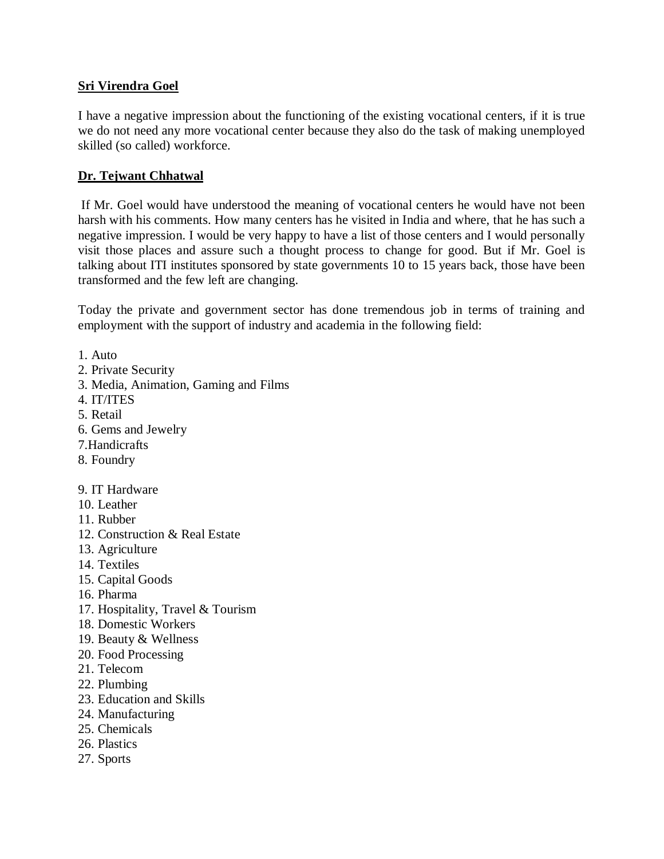# **Sri Virendra Goel**

I have a negative impression about the functioning of the existing vocational centers, if it is true we do not need any more vocational center because they also do the task of making unemployed skilled (so called) workforce.

# **Dr. Tejwant Chhatwal**

If Mr. Goel would have understood the meaning of vocational centers he would have not been harsh with his comments. How many centers has he visited in India and where, that he has such a negative impression. I would be very happy to have a list of those centers and I would personally visit those places and assure such a thought process to change for good. But if Mr. Goel is talking about ITI institutes sponsored by state governments 10 to 15 years back, those have been transformed and the few left are changing.

Today the private and government sector has done tremendous job in terms of training and employment with the support of industry and academia in the following field:

1. Auto

- 2. Private Security
- 3. Media, Animation, Gaming and Films
- 4. IT/ITES
- 5. Retail
- 6. Gems and Jewelry
- 7.Handicrafts
- 8. Foundry

9. IT Hardware

- 10. Leather
- 11. Rubber
- 12. Construction & Real Estate
- 13. Agriculture
- 14. Textiles
- 15. Capital Goods
- 16. Pharma
- 17. Hospitality, Travel & Tourism
- 18. Domestic Workers
- 19. Beauty & Wellness
- 20. Food Processing
- 21. Telecom
- 22. Plumbing
- 23. Education and Skills
- 24. Manufacturing
- 25. Chemicals
- 26. Plastics
- 27. Sports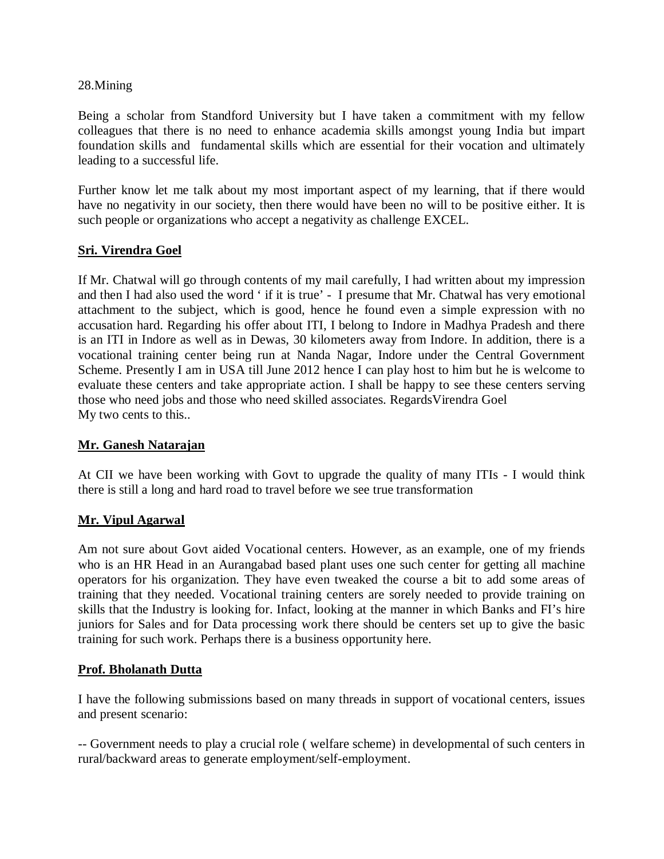### 28.Mining

Being a scholar from Standford University but I have taken a commitment with my fellow colleagues that there is no need to enhance academia skills amongst young India but impart foundation skills and fundamental skills which are essential for their vocation and ultimately leading to a successful life.

Further know let me talk about my most important aspect of my learning, that if there would have no negativity in our society, then there would have been no will to be positive either. It is such people or organizations who accept a negativity as challenge EXCEL.

## **Sri. Virendra Goel**

If Mr. Chatwal will go through contents of my mail carefully, I had written about my impression and then I had also used the word ' if it is true' - I presume that Mr. Chatwal has very emotional attachment to the subject, which is good, hence he found even a simple expression with no accusation hard. Regarding his offer about ITI, I belong to Indore in Madhya Pradesh and there is an ITI in Indore as well as in Dewas, 30 kilometers away from Indore. In addition, there is a vocational training center being run at Nanda Nagar, Indore under the Central Government Scheme. Presently I am in USA till June 2012 hence I can play host to him but he is welcome to evaluate these centers and take appropriate action. I shall be happy to see these centers serving those who need jobs and those who need skilled associates. RegardsVirendra Goel My two cents to this..

### **Mr. Ganesh Natarajan**

At CII we have been working with Govt to upgrade the quality of many ITIs - I would think there is still a long and hard road to travel before we see true transformation

### **Mr. Vipul Agarwal**

Am not sure about Govt aided Vocational centers. However, as an example, one of my friends who is an HR Head in an Aurangabad based plant uses one such center for getting all machine operators for his organization. They have even tweaked the course a bit to add some areas of training that they needed. Vocational training centers are sorely needed to provide training on skills that the Industry is looking for. Infact, looking at the manner in which Banks and FI's hire juniors for Sales and for Data processing work there should be centers set up to give the basic training for such work. Perhaps there is a business opportunity here.

### **Prof. Bholanath Dutta**

I have the following submissions based on many threads in support of vocational centers, issues and present scenario:

-- Government needs to play a crucial role ( welfare scheme) in developmental of such centers in rural/backward areas to generate employment/self-employment.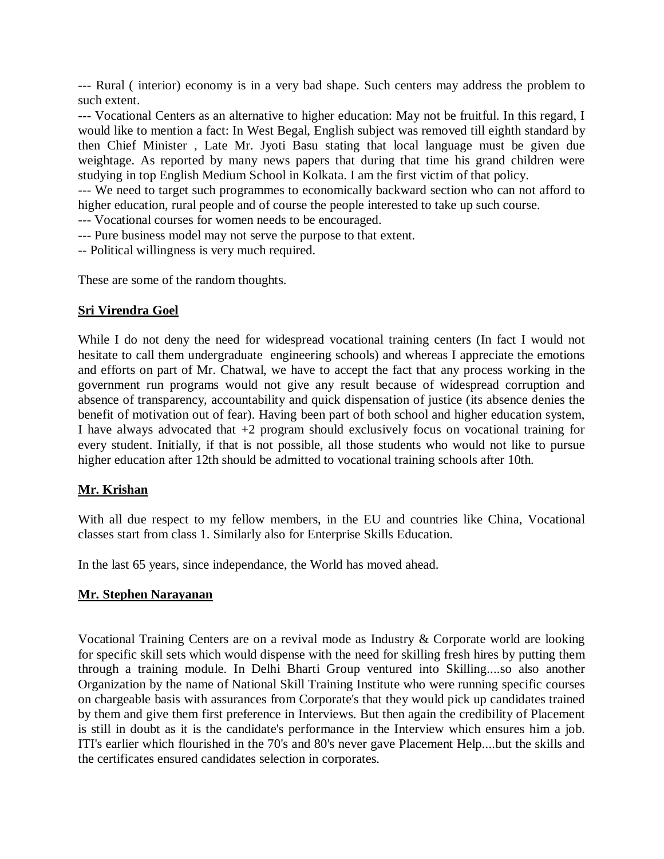--- Rural ( interior) economy is in a very bad shape. Such centers may address the problem to such extent.

--- Vocational Centers as an alternative to higher education: May not be fruitful. In this regard, I would like to mention a fact: In West Begal, English subject was removed till eighth standard by then Chief Minister , Late Mr. Jyoti Basu stating that local language must be given due weightage. As reported by many news papers that during that time his grand children were studying in top English Medium School in Kolkata. I am the first victim of that policy.

--- We need to target such programmes to economically backward section who can not afford to higher education, rural people and of course the people interested to take up such course.

--- Vocational courses for women needs to be encouraged.

- --- Pure business model may not serve the purpose to that extent.
- -- Political willingness is very much required.

These are some of the random thoughts.

## **Sri Virendra Goel**

While I do not deny the need for widespread vocational training centers (In fact I would not hesitate to call them undergraduate engineering schools) and whereas I appreciate the emotions and efforts on part of Mr. Chatwal, we have to accept the fact that any process working in the government run programs would not give any result because of widespread corruption and absence of transparency, accountability and quick dispensation of justice (its absence denies the benefit of motivation out of fear). Having been part of both school and higher education system, I have always advocated that  $+2$  program should exclusively focus on vocational training for every student. Initially, if that is not possible, all those students who would not like to pursue higher education after 12th should be admitted to vocational training schools after 10th.

# **Mr. Krishan**

With all due respect to my fellow members, in the EU and countries like China, Vocational classes start from class 1. Similarly also for Enterprise Skills Education.

In the last 65 years, since independance, the World has moved ahead.

# **Mr. Stephen Narayanan**

Vocational Training Centers are on a revival mode as Industry & Corporate world are looking for specific skill sets which would dispense with the need for skilling fresh hires by putting them through a training module. In Delhi Bharti Group ventured into Skilling....so also another Organization by the name of National Skill Training Institute who were running specific courses on chargeable basis with assurances from Corporate's that they would pick up candidates trained by them and give them first preference in Interviews. But then again the credibility of Placement is still in doubt as it is the candidate's performance in the Interview which ensures him a job. ITI's earlier which flourished in the 70's and 80's never gave Placement Help....but the skills and the certificates ensured candidates selection in corporates.